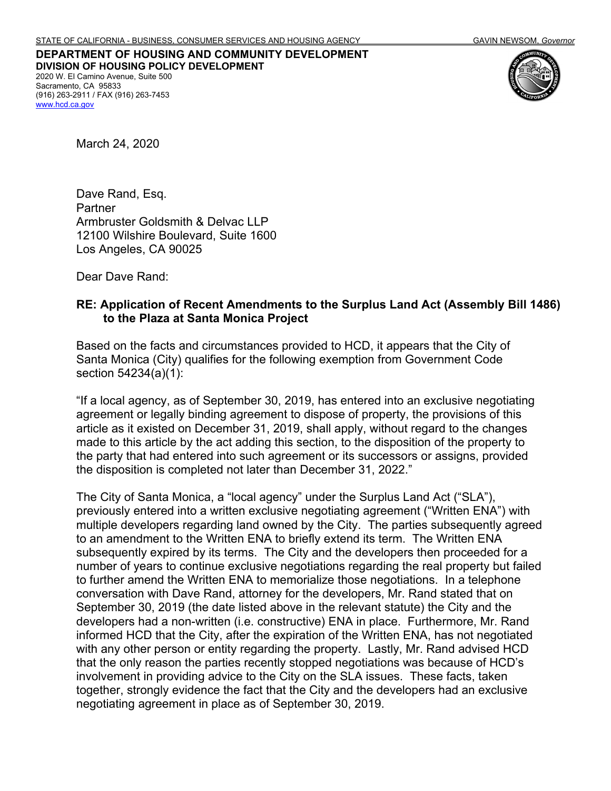## **DEPARTMENT OF HOUSING AND COMMUNITY DEVELOPMENT DIVISION OF HOUSING POLICY DEVELOPMENT** 2020 W. El Camino Avenue, Suite 500 Sacramento, CA 95833 (916) 263-2911 / FAX (916) 263-7453 [www.hcd.ca.gov](http://www.hcd.ca.gov/)



March 24, 2020

Dave Rand, Esq. **Partner** Armbruster Goldsmith & Delvac LLP 12100 Wilshire Boulevard, Suite 1600 Los Angeles, CA 90025

Dear Dave Rand:

## **RE: Application of Recent Amendments to the Surplus Land Act (Assembly Bill 1486) to the Plaza at Santa Monica Project**

Based on the facts and circumstances provided to HCD, it appears that the City of Santa Monica (City) qualifies for the following exemption from Government Code section 54234(a)(1):

"If a local agency, as of September 30, 2019, has entered into an exclusive negotiating agreement or legally binding agreement to dispose of property, the provisions of this article as it existed on December 31, 2019, shall apply, without regard to the changes made to this article by the act adding this section, to the disposition of the property to the party that had entered into such agreement or its successors or assigns, provided the disposition is completed not later than December 31, 2022."

The City of Santa Monica, a "local agency" under the Surplus Land Act ("SLA"), previously entered into a written exclusive negotiating agreement ("Written ENA") with multiple developers regarding land owned by the City. The parties subsequently agreed to an amendment to the Written ENA to briefly extend its term. The Written ENA subsequently expired by its terms. The City and the developers then proceeded for a number of years to continue exclusive negotiations regarding the real property but failed to further amend the Written ENA to memorialize those negotiations. In a telephone conversation with Dave Rand, attorney for the developers, Mr. Rand stated that on September 30, 2019 (the date listed above in the relevant statute) the City and the developers had a non-written (i.e. constructive) ENA in place. Furthermore, Mr. Rand informed HCD that the City, after the expiration of the Written ENA, has not negotiated with any other person or entity regarding the property. Lastly, Mr. Rand advised HCD that the only reason the parties recently stopped negotiations was because of HCD's involvement in providing advice to the City on the SLA issues. These facts, taken together, strongly evidence the fact that the City and the developers had an exclusive negotiating agreement in place as of September 30, 2019.